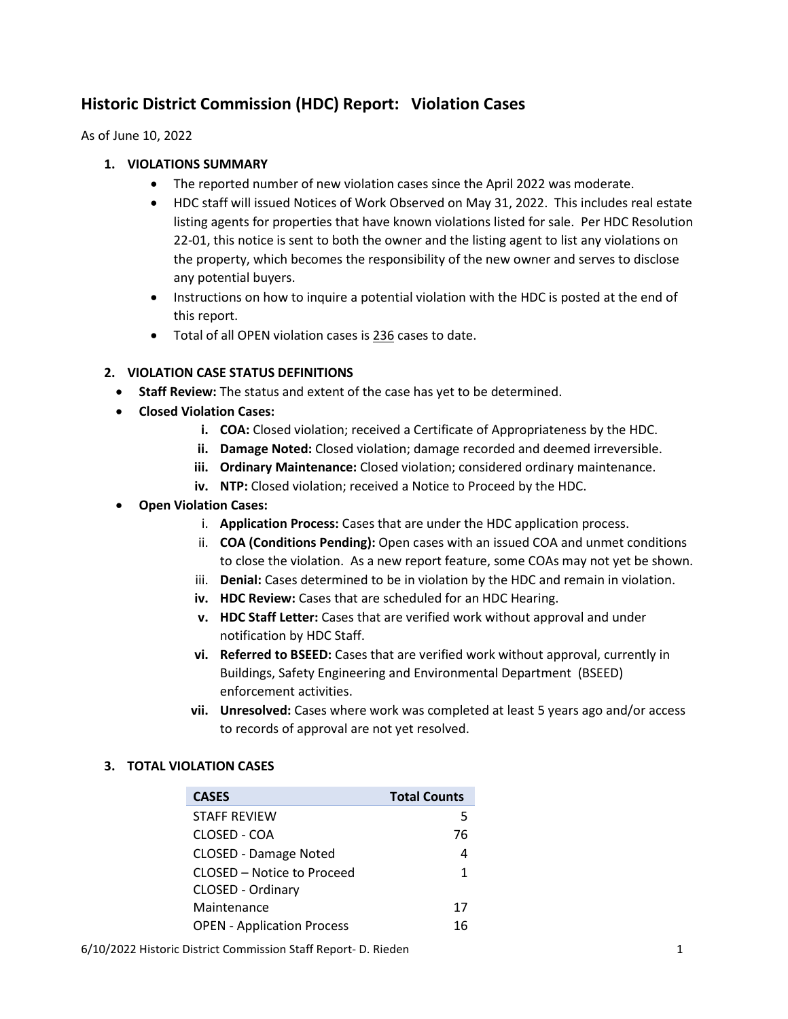# **Historic District Commission (HDC) Report: Violation Cases**

As of June 10, 2022

## **1. VIOLATIONS SUMMARY**

- The reported number of new violation cases since the April 2022 was moderate.
- HDC staff will issued Notices of Work Observed on May 31, 2022. This includes real estate listing agents for properties that have known violations listed for sale. Per HDC Resolution 22-01, this notice is sent to both the owner and the listing agent to list any violations on the property, which becomes the responsibility of the new owner and serves to disclose any potential buyers.
- Instructions on how to inquire a potential violation with the HDC is posted at the end of this report.
- Total of all OPEN violation cases is 236 cases to date.

## **2. VIOLATION CASE STATUS DEFINITIONS**

- **Staff Review:** The status and extent of the case has yet to be determined.
- **Closed Violation Cases:** 
	- **i. COA:** Closed violation; received a Certificate of Appropriateness by the HDC.
	- **ii. Damage Noted:** Closed violation; damage recorded and deemed irreversible.
	- **iii. Ordinary Maintenance:** Closed violation; considered ordinary maintenance.
	- **iv. NTP:** Closed violation; received a Notice to Proceed by the HDC.
- **Open Violation Cases:** 
	- i. **Application Process:** Cases that are under the HDC application process.
	- ii. **COA (Conditions Pending):** Open cases with an issued COA and unmet conditions to close the violation. As a new report feature, some COAs may not yet be shown.
	- iii. **Denial:** Cases determined to be in violation by the HDC and remain in violation.
	- **iv. HDC Review:** Cases that are scheduled for an HDC Hearing.
	- **v. HDC Staff Letter:** Cases that are verified work without approval and under notification by HDC Staff.
	- **vi. Referred to BSEED:** Cases that are verified work without approval, currently in Buildings, Safety Engineering and Environmental Department (BSEED) enforcement activities.
	- **vii. Unresolved:** Cases where work was completed at least 5 years ago and/or access to records of approval are not yet resolved.

## **3. TOTAL VIOLATION CASES**

| <b>CASES</b>                      | <b>Total Counts</b> |
|-----------------------------------|---------------------|
| <b>STAFF REVIEW</b>               | 5                   |
| CLOSED - COA                      | 76                  |
| <b>CLOSED - Damage Noted</b>      | 4                   |
| CLOSED – Notice to Proceed        | 1                   |
| CLOSED - Ordinary                 |                     |
| Maintenance                       | 17                  |
| <b>OPEN - Application Process</b> | 16                  |

6/10/2022 Historic District Commission Staff Report- D. Rieden 1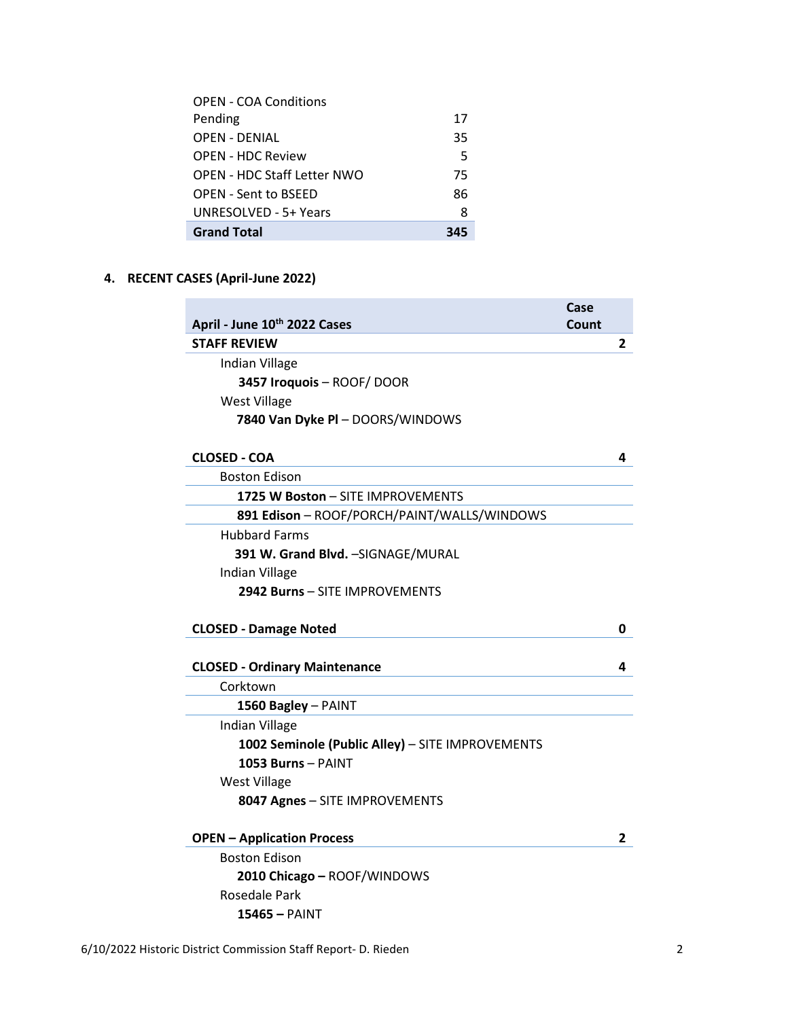| <b>OPEN - COA Conditions</b> |     |
|------------------------------|-----|
| Pending                      | 17  |
| OPEN - DENIAL                | 35  |
| <b>OPEN - HDC Review</b>     | 5   |
| OPEN - HDC Staff Letter NWO  | 75  |
| <b>OPEN - Sent to BSEED</b>  | 86  |
| UNRESOLVED - 5+ Years        | 8   |
| <b>Grand Total</b>           | 345 |

# **4. RECENT CASES (April-June 2022)**

|                                                  | Case  |   |
|--------------------------------------------------|-------|---|
| April - June 10th 2022 Cases                     | Count |   |
| <b>STAFF REVIEW</b>                              |       | 2 |
| Indian Village                                   |       |   |
| 3457 Iroquois - ROOF/ DOOR                       |       |   |
| <b>West Village</b>                              |       |   |
| 7840 Van Dyke PI - DOORS/WINDOWS                 |       |   |
|                                                  |       |   |
| <b>CLOSED - COA</b>                              |       | 4 |
| <b>Boston Edison</b>                             |       |   |
| 1725 W Boston - SITE IMPROVEMENTS                |       |   |
| 891 Edison - ROOF/PORCH/PAINT/WALLS/WINDOWS      |       |   |
| <b>Hubbard Farms</b>                             |       |   |
| 391 W. Grand Blvd. - SIGNAGE/MURAL               |       |   |
| Indian Village                                   |       |   |
| 2942 Burns - SITE IMPROVEMENTS                   |       |   |
|                                                  |       |   |
| <b>CLOSED - Damage Noted</b>                     |       | 0 |
|                                                  |       |   |
| <b>CLOSED - Ordinary Maintenance</b>             |       | 4 |
| Corktown                                         |       |   |
| 1560 Bagley - PAINT                              |       |   |
| Indian Village                                   |       |   |
| 1002 Seminole (Public Alley) - SITE IMPROVEMENTS |       |   |
| 1053 Burns - PAINT                               |       |   |
| <b>West Village</b>                              |       |   |
| 8047 Agnes - SITE IMPROVEMENTS                   |       |   |
|                                                  |       |   |
| <b>OPEN - Application Process</b>                |       | 2 |
| <b>Boston Edison</b>                             |       |   |
| 2010 Chicago - ROOF/WINDOWS                      |       |   |
| Rosedale Park                                    |       |   |
| 15465 – PAINT                                    |       |   |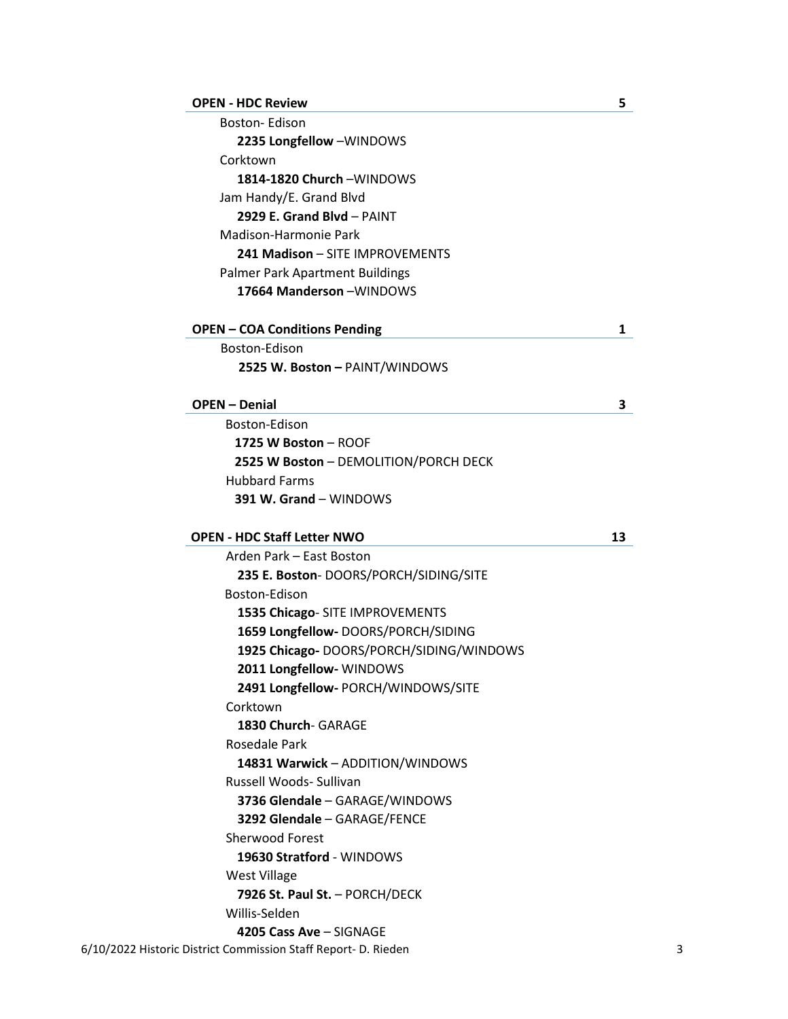#### **OPEN - HDC Review 5**

| <b>Boston-Edison</b>            |  |
|---------------------------------|--|
| 2235 Longfellow -WINDOWS        |  |
| Corktown                        |  |
| 1814-1820 Church - WINDOWS      |  |
| Jam Handy/E. Grand Blvd         |  |
| 2929 E. Grand Blvd - PAINT      |  |
| Madison-Harmonie Park           |  |
| 241 Madison - SITE IMPROVEMENTS |  |
| Palmer Park Apartment Buildings |  |
| 17664 Manderson - WINDOWS       |  |

#### **OPEN – COA Conditions Pending 1**

Boston-Edison **2525 W. Boston –** PAINT/WINDOWS

#### **OPEN – Denial 3**

Boston-Edison **1725 W Boston** – ROOF **2525 W Boston** – DEMOLITION/PORCH DECK Hubbard Farms **391 W. Grand** – WINDOWS

### **OPEN - HDC Staff Letter NWO 13**

6/10/2022 Historic District Commission Staff Report- D. Rieden 3 Arden Park – East Boston **235 E. Boston**- DOORS/PORCH/SIDING/SITE Boston-Edison **1535 Chicago**- SITE IMPROVEMENTS **1659 Longfellow-** DOORS/PORCH/SIDING **1925 Chicago-** DOORS/PORCH/SIDING/WINDOWS **2011 Longfellow-** WINDOWS **2491 Longfellow-** PORCH/WINDOWS/SITE Corktown **1830 Church**- GARAGE Rosedale Park **14831 Warwick** – ADDITION/WINDOWS Russell Woods- Sullivan **3736 Glendale** – GARAGE/WINDOWS **3292 Glendale** – GARAGE/FENCE Sherwood Forest **19630 Stratford** - WINDOWS West Village **7926 St. Paul St.** – PORCH/DECK Willis-Selden **4205 Cass Ave** – SIGNAGE